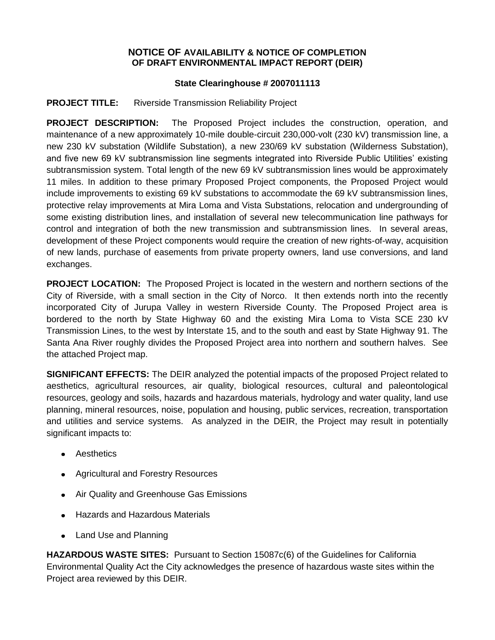## **NOTICE OF AVAILABILITY & NOTICE OF COMPLETION OF DRAFT ENVIRONMENTAL IMPACT REPORT (DEIR)**

## **State Clearinghouse # 2007011113**

## **PROJECT TITLE:** Riverside Transmission Reliability Project

**PROJECT DESCRIPTION:** The Proposed Project includes the construction, operation, and maintenance of a new approximately 10-mile double-circuit 230,000-volt (230 kV) transmission line, a new 230 kV substation (Wildlife Substation), a new 230/69 kV substation (Wilderness Substation), and five new 69 kV subtransmission line segments integrated into Riverside Public Utilities' existing subtransmission system. Total length of the new 69 kV subtransmission lines would be approximately 11 miles. In addition to these primary Proposed Project components, the Proposed Project would include improvements to existing 69 kV substations to accommodate the 69 kV subtransmission lines, protective relay improvements at Mira Loma and Vista Substations, relocation and undergrounding of some existing distribution lines, and installation of several new telecommunication line pathways for control and integration of both the new transmission and subtransmission lines. In several areas, development of these Project components would require the creation of new rights-of-way, acquisition of new lands, purchase of easements from private property owners, land use conversions, and land exchanges.

**PROJECT LOCATION:** The Proposed Project is located in the western and northern sections of the City of Riverside, with a small section in the City of Norco. It then extends north into the recently incorporated City of Jurupa Valley in western Riverside County. The Proposed Project area is bordered to the north by State Highway 60 and the existing Mira Loma to Vista SCE 230 kV Transmission Lines, to the west by Interstate 15, and to the south and east by State Highway 91. The Santa Ana River roughly divides the Proposed Project area into northern and southern halves. See the attached Project map.

**SIGNIFICANT EFFECTS:** The DEIR analyzed the potential impacts of the proposed Project related to aesthetics, agricultural resources, air quality, biological resources, cultural and paleontological resources, geology and soils, hazards and hazardous materials, hydrology and water quality, land use planning, mineral resources, noise, population and housing, public services, recreation, transportation and utilities and service systems. As analyzed in the DEIR, the Project may result in potentially significant impacts to:

- **•** Aesthetics
- Agricultural and Forestry Resources
- Air Quality and Greenhouse Gas Emissions
- Hazards and Hazardous Materials  $\bullet$
- Land Use and Planning  $\bullet$

**HAZARDOUS WASTE SITES:** Pursuant to Section 15087c(6) of the Guidelines for California Environmental Quality Act the City acknowledges the presence of hazardous waste sites within the Project area reviewed by this DEIR.